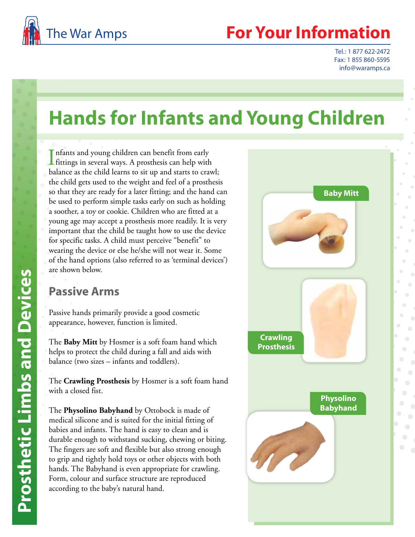

# **Your Information**

Tel.: 1 877 622-2472 Fax: 1 855 860-5595 info@waramps.ca

# **Hands for Infants and Young Children**

Infants and young children can benefit from early<br>fittings in several ways. A prosthesis can help with nfants and young children can benefit from early balance as the child learns to sit up and starts to crawl; the child gets used to the weight and feel of a prosthesis so that they are ready for a later fitting; and the hand can be used to perform simple tasks early on such as holding a soother, a toy or cookie. Children who are fitted at a young age may accept a prosthesis more readily. It is very important that the child be taught how to use the device for specific tasks. A child must perceive "benefit" to wearing the device or else he/she will not wear it. Some of the hand options (also referred to as 'terminal devices') are shown below.

## **Passive Arms**

Passive hands primarily provide a good cosmetic appearance, however, function is limited.

The **Baby Mitt** by Hosmer is a soft foam hand which helps to protect the child during a fall and aids with balance (two sizes – infants and toddlers).

The **Crawling Prosthesis** by Hosmer is a soft foam hand with a closed fist.

The **Physolino Babyhand** by Ottobock is made of medical silicone and is suited for the initial fitting of babies and infants. The hand is easy to clean and is durable enough to withstand sucking, chewing or biting. The fingers are soft and flexible but also strong enough to grip and tightly hold toys or other objects with both hands. The Babyhand is even appropriate for crawling. Form, colour and surface structure are reproduced according to the baby's natural hand.

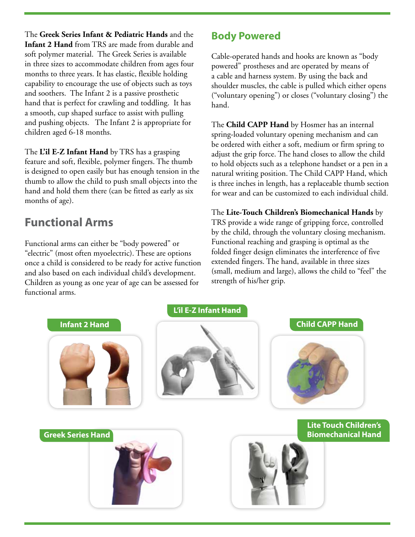The **Greek Series Infant & Pediatric Hands** and the **Infant 2 Hand** from TRS are made from durable and soft polymer material. The Greek Series is available in three sizes to accommodate children from ages four months to three years. It has elastic, flexible holding capability to encourage the use of objects such as toys and soothers. The Infant 2 is a passive prosthetic hand that is perfect for crawling and toddling. It has a smooth, cup shaped surface to assist with pulling and pushing objects. The Infant 2 is appropriate for children aged 6-18 months.

The **L'il E-Z Infant Hand** by TRS has a grasping feature and soft, flexible, polymer fingers. The thumb is designed to open easily but has enough tension in the thumb to allow the child to push small objects into the hand and hold them there (can be fitted as early as six months of age).

# **Functional Arms**

Functional arms can either be "body powered" or "electric" (most often myoelectric). These are options once a child is considered to be ready for active function and also based on each individual child's development. Children as young as one year of age can be assessed for functional arms.

### **Body Powered**

Cable-operated hands and hooks are known as "body powered" prostheses and are operated by means of a cable and harness system. By using the back and shoulder muscles, the cable is pulled which either opens ("voluntary opening") or closes ("voluntary closing") the hand.

The **Child CAPP Hand** by Hosmer has an internal spring-loaded voluntary opening mechanism and can be ordered with either a soft, medium or firm spring to adjust the grip force. The hand closes to allow the child to hold objects such as a telephone handset or a pen in a natural writing position. The Child CAPP Hand, which is three inches in length, has a replaceable thumb section for wear and can be customized to each individual child.

The **Lite-Touch Children's Biomechanical Hands** by TRS provide a wide range of gripping force, controlled by the child, through the voluntary closing mechanism. Functional reaching and grasping is optimal as the folded finger design eliminates the interference of five extended fingers. The hand, available in three sizes (small, medium and large), allows the child to "feel" the strength of his/her grip.